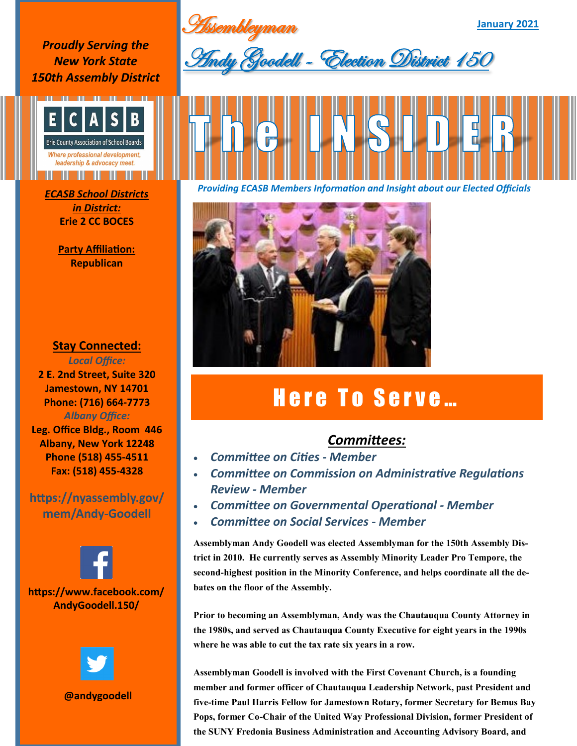Assembleyman

*Proudly Serving the New York State 150th Assembly District*



*in District:* **Erie 2 CC BOCES**

> **Party Affiliation: Republican**

## **Stay Connected:**

*Local Office:* **2 E. 2nd Street, Suite 320 Jamestown, NY 14701 Phone: (716) 664-7773** *Albany Office:*  **Leg. Office Bldg., Room 446 Albany, New York 12248 Phone (518) 455-4511**

**https://nyassembly.gov/ mem/Andy-Goodell**

**Fax: (518) 455-4328**





**@andygoodell**



**January 2021**



*Providing ECASB Members Information and Insight about our Elected Officials ECASB School Districts* 



## Here To Serve...

## *Committees:*

- *Committee on Cities - Member*
- *Committee on Commission on Administrative Regulations Review - Member*
- *Committee on Governmental Operational - Member*
- *Committee on Social Services - Member*

**Assemblyman Andy Goodell was elected Assemblyman for the 150th Assembly District in 2010. He currently serves as Assembly Minority Leader Pro Tempore, the second-highest position in the Minority Conference, and helps coordinate all the debates on the floor of the Assembly.**

**Prior to becoming an Assemblyman, Andy was the Chautauqua County Attorney in the 1980s, and served as Chautauqua County Executive for eight years in the 1990s where he was able to cut the tax rate six years in a row.** 

**Assemblyman Goodell is involved with the First Covenant Church, is a founding member and former officer of Chautauqua Leadership Network, past President and five-time Paul Harris Fellow for Jamestown Rotary, former Secretary for Bemus Bay Pops, former Co-Chair of the United Way Professional Division, former President of the SUNY Fredonia Business Administration and Accounting Advisory Board, and**